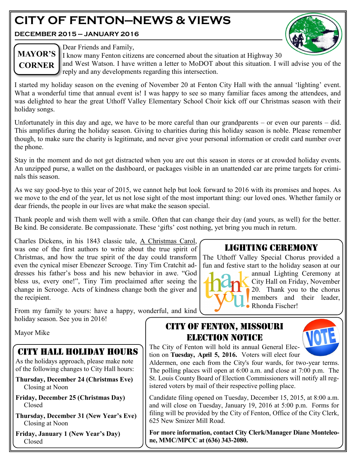# **CITY OF FENTON—NEWS & VIEWS**

**DECEMBER 2015 — JANUARY 2016**



# **MAYOR'S CORNER**

Dear Friends and Family,

I know many Fenton citizens are concerned about the situation at Highway 30 and West Watson. I have written a letter to MoDOT about this situation. I will advise you of the reply and any developments regarding this intersection.

I started my holiday season on the evening of November 20 at Fenton City Hall with the annual 'lighting' event. What a wonderful time that annual event is! I was happy to see so many familiar faces among the attendees, and was delighted to hear the great Uthoff Valley Elementary School Choir kick off our Christmas season with their holiday songs.

Unfortunately in this day and age, we have to be more careful than our grandparents – or even our parents – did. This amplifies during the holiday season. Giving to charities during this holiday season is noble. Please remember though, to make sure the charity is legitimate, and never give your personal information or credit card number over the phone.

Stay in the moment and do not get distracted when you are out this season in stores or at crowded holiday events. An unzipped purse, a wallet on the dashboard, or packages visible in an unattended car are prime targets for criminals this season.

As we say good-bye to this year of 2015, we cannot help but look forward to 2016 with its promises and hopes. As we move to the end of the year, let us not lose sight of the most important thing: our loved ones. Whether family or dear friends, the people in our lives are what make the season special.

Thank people and wish them well with a smile. Often that can change their day (and yours, as well) for the better. Be kind. Be considerate. Be compassionate. These 'gifts' cost nothing, yet bring you much in return.

Charles Dickens, in his 1843 classic tale, A Christmas Carol, was one of the first authors to write about the true spirit of Christmas, and how the true spirit of the day could transform even the cynical miser Ebenezer Scrooge. Tiny Tim Cratchit addresses his father's boss and his new behavior in awe. "God bless us, every one!", Tiny Tim proclaimed after seeing the change in Scrooge. Acts of kindness change both the giver and the recipient.

From my family to yours: have a happy, wonderful, and kind holiday season. See you in 2016!

Mayor Mike

## CITY HALL HOLIDAY HOURS

As the holidays approach, please make note of the following changes to City Hall hours:

- **Thursday, December 24 (Christmas Eve)** Closing at Noon
- **Friday, December 25 (Christmas Day)** Closed
- **Thursday, December 31 (New Year's Eve)** Closing at Noon

**Friday, January 1 (New Year's Day)** Closed

## LIGHTING CEREMONY

The Uthoff Valley Special Chorus provided a fun and festive start to the holiday season at our



annual Lighting Ceremony at City Hall on Friday, November 20. Thank you to the chorus members and their leader, Rhonda Fischer!

## CITY OF FENTON, MISSOURI ELECTION NOTICE



The City of Fenton will hold its annual General Election on **Tuesday, April 5, 2016.** Voters will elect four

Aldermen, one each from the City's four wards, for two-year terms. The polling places will open at 6:00 a.m. and close at 7:00 p.m. The St. Louis County Board of Election Commissioners will notify all registered voters by mail of their respective polling place.

Candidate filing opened on Tuesday, December 15, 2015, at 8:00 a.m. and will close on Tuesday, January 19, 2016 at 5:00 p.m. Forms for filing will be provided by the City of Fenton, Office of the City Clerk, 625 New Smizer Mill Road.

**For more information, contact City Clerk/Manager Diane Monteleone, MMC/MPCC at (636) 343-2080.**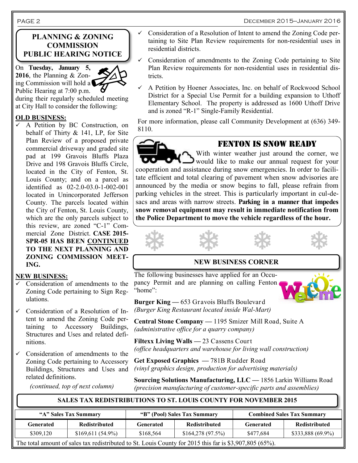#### December 2015—January 2016

#### **PLANNING & ZONING COMMISSION PUBLIC HEARING NOTICE**

On **Tuesday, January 5, 2016**, the Planning & Zoning Commission will hold a Public Hearing at 7:00 p.m.

during their regularly scheduled meeting at City Hall to consider the following:

#### **OLD BUSINESS:**

 A Petition by BC Construction, on behalf of Thirty & 141, LP, for Site Plan Review of a proposed private commercial driveway and graded site pad at 199 Gravois Bluffs Plaza Drive and 198 Gravois Bluffs Circle, located in the City of Fenton, St. Louis County; and on a parcel as identified as 02-2.0-03.0-1-002-001 located in Unincorporated Jefferson County. The parcels located within the City of Fenton, St. Louis County, which are the only parcels subject to this review, are zoned "C-1" Commercial Zone District. **CASE 2015- SPR-05 HAS BEEN CONTINUED TO THE NEXT PLANNING AND ZONING COMMISSION MEET-ING.**

#### **NEW BUSINESS:**

- $\checkmark$  Consideration of amendments to the Zoning Code pertaining to Sign Regulations.
- $\checkmark$  Consideration of a Resolution of Intent to amend the Zoning Code pertaining to Accessory Buildings, Structures and Uses and related definitions.
- Consideration of amendments to the Zoning Code pertaining to Accessory Buildings, Structures and Uses and related definitions.

*(continued, top of next column)*

- Consideration of a Resolution of Intent to amend the Zoning Code pertaining to Site Plan Review requirements for non-residential uses in residential districts.
- Consideration of amendments to the Zoning Code pertaining to Site Plan Review requirements for non-residential uses in residential districts.
- $\checkmark$  A Petition by Hoener Associates, Inc. on behalf of Rockwood School District for a Special Use Permit for a building expansion to Uthoff Elementary School. The property is addressed as 1600 Uthoff Drive and is zoned "R-1" Single-Family Residential.

For more information, please call Community Development at (636) 349- 8110.

## FENTON IS SNOW READY

With winter weather just around the corner, we would like to make our annual request for your cooperation and assistance during snow emergencies. In order to facilitate efficient and total clearing of pavement when snow advisories are announced by the media or snow begins to fall, please refrain from parking vehicles in the street. This is particularly important in cul-desacs and areas with narrow streets. **Parking in a manner that impedes snow removal equipment may result in immediate notification from the Police Department to move the vehicle regardless of the hour.**

#### **NEW BUSINESS CORNER**

The following businesses have applied for an Occupancy Permit and are planning on calling Fenton "home":

**Burger King —** 653 Gravois Bluffs Boulevard *(Burger King Restaurant located inside Wal-Mart)*

**Central Stone Company —** 1195 Smizer Mill Road, Suite A *(administrative office for a quarry company)*

**Filtexx Living Walls —** 23 Cassens Court *(office headquarters and warehouse for living wall construction)*

**Get Exposed Graphics —** 781B Rudder Road *(vinyl graphics design, production for advertising materials)*

**Sourcing Solutions Manufacturing, LLC —** 1856 Larkin Williams Road *(precision manufacturing of customer-specific parts and assemblies)*

#### **SALES TAX REDISTRIBUTIONS TO ST. LOUIS COUNTY FOR NOVEMBER 2015**

| "A" Sales Tax Summary                                                                                   |                      | "B" (Pool) Sales Tax Summary |                      | <b>Combined Sales Tax Summary</b> |                   |  |  |
|---------------------------------------------------------------------------------------------------------|----------------------|------------------------------|----------------------|-----------------------------------|-------------------|--|--|
| Generated                                                                                               | <b>Redistributed</b> | Generated                    | <b>Redistributed</b> | Generated                         | Redistributed     |  |  |
| \$309.120                                                                                               | $$169,611(54.9\%)$   | \$168,564                    | \$164,278(97.5%)     | \$477.684                         | \$333,888 (69.9%) |  |  |
| The total amount of sales tax redistributed to St. Louis County for 2015 this far is \$3,907,805 (65%). |                      |                              |                      |                                   |                   |  |  |

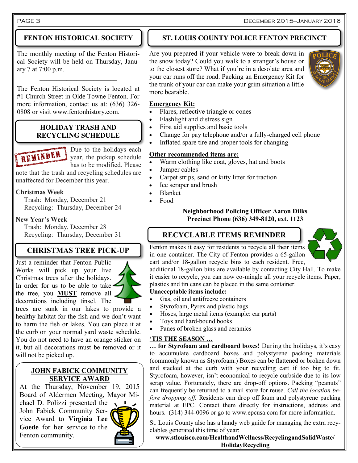### **FENTON HISTORICAL SOCIETY**

The monthly meeting of the Fenton Historical Society will be held on Thursday, January 7 at 7:00 p.m.  $\overline{\phantom{a}}$  , where  $\overline{\phantom{a}}$ 

The Fenton Historical Society is located at #1 Church Street in Olde Towne Fenton. For more information, contact us at: (636) 326- 0808 or visit www.fentonhistory.com.

#### **HOLIDAY TRASH AND RECYCLING SCHEDULE**

Due to the holidays each year, the pickup schedule has to be modified. Please

note that the trash and recycling schedules are unaffected for December this year.

#### **Christmas Week**

REMINDER

 Trash: Monday, December 21 Recycling: Thursday, December 24

#### **New Year's Week**

 Trash: Monday, December 28 Recycling: Thursday, December 31

## **CHRISTMAS TREE PICK-UP**

Just a reminder that Fenton Public Works will pick up your live Christmas trees after the holidays. In order for us to be able to take the tree, you **MUST** remove all decorations including tinsel. The trees are sunk in our lakes to provide a healthy habitat for the fish and we don't want to harm the fish or lakes. You can place it at the curb on your normal yard waste schedule. You do not need to have an orange sticker on it, but all decorations must be removed or it will not be picked up.

#### **JOHN FABICK COMMUNITY SERVICE AWARD**

At the Thursday, November 19, 2015 Board of Aldermen Meeting, Mayor Michael D. Polizzi presented the John Fabick Community Service Award to **Virginia Lee Goede** for her service to the Fenton community.

### **ST. LOUIS COUNTY POLICE FENTON PRECINCT**

Are you prepared if your vehicle were to break down in the snow today? Could you walk to a stranger's house or to the closest store? What if you're in a desolate area and your car runs off the road. Packing an Emergency Kit for the trunk of your car can make your grim situation a little more bearable.



#### **Emergency Kit:**

- Flares, reflective triangle or cones
- Flashlight and distress sign
- First aid supplies and basic tools
- Change for pay telephone and/or a fully-charged cell phone
- Inflated spare tire and proper tools for changing

#### **Other recommended items are:**

- Warm clothing like coat, gloves, hat and boots
- Jumper cables
- Carpet strips, sand or kitty litter for traction
- Ice scraper and brush
- Blanket
- Food

#### **Neighborhood Policing Officer Aaron Dilks Precinct Phone (636) 349-8120, ext. 1123**

## **RECYCLABLE ITEMS REMINDER**



Fenton makes it easy for residents to recycle all their items in one container. The City of Fenton provides a 65-gallon cart and/or 18-gallon recycle bins to each resident. Free,

additional 18-gallon bins are available by contacting City Hall. To make it easier to recycle, you can now co-mingle all your recycle items. Paper, plastics and tin cans can be placed in the same container.

#### **Unacceptable items include:**

- Gas, oil and antifreeze containers
- Styrofoam, Pyrex and plastic bags
- Hoses, large metal items (example: car parts)
- Toys and hard-bound books
- Panes of broken glass and ceramics

#### **'TIS THE SEASON …**

**… for Styrofoam and cardboard boxes!** During the holidays, it's easy to accumulate cardboard boxes and polystyrene packing materials (commonly known as Styrofoam.) Boxes can be flattened or broken down and stacked at the curb with your recycling cart if too big to fit. Styrofoam, however, isn't economical to recycle curbside due to its low scrap value. Fortunately, there are drop-off options. Packing "peanuts" can frequently be returned to a mail store for reuse. *Call the location before dropping off.* Residents can drop off foam and polystyrene packing material at EPC. Contact them directly for instructions, address and hours. (314) 344-0096 or go to www.epcusa.com for more information.

St. Louis County also has a handy web guide for managing the extra recyclables generated this time of year:

**www.stlouisco.com/HealthandWellness/RecyclingandSolidWaste/ HolidayRecycling**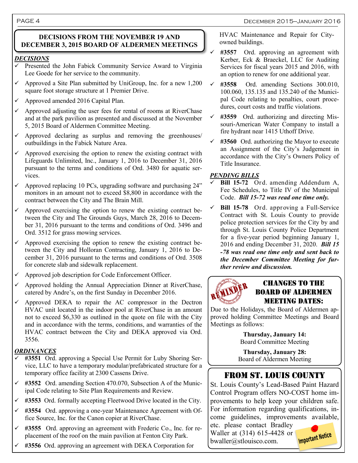#### **DECISIONS FROM THE NOVEMBER 19 AND DECEMBER 3, 2015 BOARD OF ALDERMEN MEETINGS**

#### *DECISIONS*

- Presented the John Fabick Community Service Award to Virginia Lee Goede for her service to the community.
- $\checkmark$  Approved a Site Plan submitted by UniGroup, Inc. for a new 1,200 square foot storage structure at 1 Premier Drive.
- $\checkmark$  Approved amended 2016 Capital Plan.
- $\checkmark$  Approved adjusting the user fees for rental of rooms at RiverChase and at the park pavilion as presented and discussed at the November 5, 2015 Board of Aldermen Committee Meeting.
- $\checkmark$  Approved declaring as surplus and removing the greenhouses/ outbuildings in the Fabick Nature Area.
- Approved exercising the option to renew the existing contract with Lifeguards Unlimited, Inc., January 1, 2016 to December 31, 2016 pursuant to the terms and conditions of Ord. 3480 for aquatic services.
- $\checkmark$  Approved replacing 10 PCs, upgrading software and purchasing 24" monitors in an amount not to exceed \$8,800 in accordance with the contract between the City and The Brain Mill.
- $\checkmark$  Approved exercising the option to renew the existing contract between the City and The Grounds Guys, March 28, 2016 to December 31, 2016 pursuant to the terms and conditions of Ord. 3496 and Ord. 3512 for grass mowing services.
- $\checkmark$  Approved exercising the option to renew the existing contract between the City and Holloran Contracting, January 1, 2016 to December 31, 2016 pursuant to the terms and conditions of Ord. 3508 for concrete slab and sidewalk replacement.
- Approved job description for Code Enforcement Officer.
- $\checkmark$  Approved holding the Annual Appreciation Dinner at RiverChase, catered by Andre's, on the first Sunday in December 2016.
- Approved DEKA to repair the AC compressor in the Dectron HVAC unit located in the indoor pool at RiverChase in an amount not to exceed \$6,330 as outlined in the quote on file with the City and in accordance with the terms, conditions, and warranties of the HVAC contract between the City and DEKA approved via Ord. 3556.

#### *ORDINANCES*

- **#3551** Ord. approving a Special Use Permit for Luby Shoring Service, LLC to have a temporary modular/prefabricated structure for a temporary office facility at 2300 Cassens Drive.
- **#3552** Ord. amending Section 470.070, Subsection A of the Municipal Code relating to Site Plan Requirements and Review.
- **#3553** Ord. formally accepting Fleetwood Drive located in the City.
- **#3554** Ord. approving a one-year Maintenance Agreement with Office Source, Inc. for the Canon copier at RiverChase.
- **#3555** Ord. approving an agreement with Frederic Co., Inc. for replacement of the roof on the main pavilion at Fenton City Park.
- **#3556** Ord. approving an agreement with DEKA Corporation for

 HVAC Maintenance and Repair for City owned buildings.

- **#3557** Ord. approving an agreement with Kerber, Eck & Braeckel, LLC for Auditing Services for fiscal years 2015 and 2016, with an option to renew for one additional year.
- **#3558** Ord. amending Sections 300.010, 100.060, 135.135 and 135.240 of the Municipal Code relating to penalties, court procedures, court costs and traffic violations.
- **#3559** Ord. authorizing and directing Missouri-American Water Company to install a fire hydrant near 1415 Uthoff Drive.
- **#3560** Ord. authorizing the Mayor to execute an Assignment of the City's Judgement in accordance with the City's Owners Policy of Title Insurance.

#### *PENDING BILLS*

- **Bill 15-72** Ord. amending Addendum A, Fee Schedules, to Title IV of the Municipal Code. *Bill 15-72 was read one time only.*
- **Bill 15-78** Ord. approving a Full-Service Contract with St. Louis County to provide police protection services for the City by and through St. Louis County Police Department for a five-year period beginning January 1, 2016 and ending December 31, 2020. *Bill 15 -78 was read one time only and sent back to the December Committee Meeting for further review and discussion.*



### Changes to the board of aldermen **MEETING DATES:**

Due to the Holidays, the Board of Aldermen approved holding Committee Meetings and Board Meetings as follows:

> **Thursday, January 14:** Board Committee Meeting

**Thursday, January 28:** Board of Aldermen Meeting

## FROM ST. LOUIS COUNTY

St. Louis County's Lead-Based Paint Hazard Control Program offers NO-COST home improvements to help keep your children safe. For information regarding qualifications, income guidelines, improvements available,

etc. please contact Bradley Waller at (314) 615-4428 or bwaller@stlouisco.com.

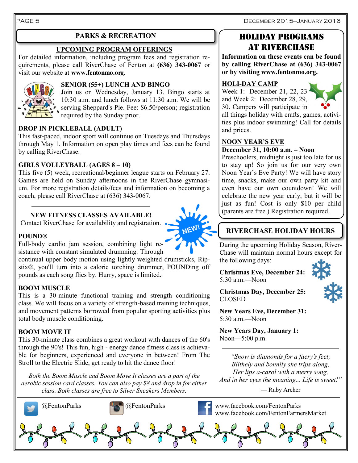PAGE 5 December 2015—January 2016

#### **UPCOMING PROGRAM OFFERINGS**

For detailed information, including program fees and registration requirements, please call RiverChase of Fenton at **(636) 343-0067** or visit our website at **www.fentonmo.org**.



#### **SENIOR (55+) LUNCH AND BINGO**

Join us on Wednesday, January 13. Bingo starts at 10:30 a.m. and lunch follows at 11:30 a.m. We will be serving Sheppard's Pie. Fee: \$6.50/person; registration required by the Sunday prior.

#### **DROP IN PICKLEBALL (ADULT)**

This fast-paced, indoor sport will continue on Tuesdays and Thursdays through May 1. Information on open play times and fees can be found by calling RiverChase.

#### **GIRLS VOLLEYBALL (AGES 8 – 10)**

This five (5) week, recreational/beginner league starts on February 27. Games are held on Sunday afternoons in the RiverChase gymnasium. For more registration details/fees and information on becoming a coach, please call RiverChase at (636) 343-0067.

#### **NEW FITNESS CLASSES AVAILABLE!**

Contact RiverChase for availability and registration.



Full-body cardio jam session, combining light resistance with constant simulated drumming. Through

continual upper body motion using lightly weighted drumsticks, Ripstix®, you'll turn into a calorie torching drummer, POUNDing off pounds as each song flies by. Hurry, space is limited.

#### **BOOM MUSCLE**

This is a 30-minute functional training and strength conditioning class. We will focus on a variety of strength-based training techniques, and movement patterns borrowed from popular sporting activities plus total body muscle conditioning.

#### **BOOM MOVE IT**

This 30-minute class combines a great workout with dances of the 60's through the 90's! This fun, high - energy dance fitness class is achievable for beginners, experienced and everyone in between! From The Stroll to the Electric Slide, get ready to hit the dance floor!

*Both the Boom Muscle and Boom Move It classes are a part of the aerobic session card classes. You can also pay \$8 and drop in for either class. Both classes are free to Silver Sneakers Members.*

## **PARKS & RECREATION HOLIDAY PROGRAMS** At riverchase

**Information on these events can be found by calling RiverChase at (636) 343-0067 or by visiting www.fentonmo.org.**

#### **HOLI-DAY CAMP**

Week 1: December 21, 22, 2 and Week 2: December 28, 29,



## **NOON YEAR'S EVE**

#### **December 31, 10:00 a.m. – Noon**

Preschoolers, midnight is just too late for us to stay up! So join us for our very own Noon Year's Eve Party! We will have story time, snacks, make our own party kit and even have our own countdown! We will celebrate the new year early, but it will be just as fun! Cost is only \$10 per child (parents are free.) Registration required.

## **RIVERCHASE HOLIDAY HOURS**

During the upcoming Holiday Season, River-Chase will maintain normal hours except for the following days:

**Christmas Eve, December 24:** 5:30 a.m.—Noon



**Christmas Day, December 25:** CLOSED

**New Years Eve, December 31:** 5:30 a.m.—Noon

**New Years Day, January 1:** Noon—5:00 p.m.

*"Snow is diamonds for a faery's feet; Blithely and bonnily she trips along, Her lips a-carol with a merry song, And in her eyes the meaning... Life is sweet!"* 

― Ruby Archer